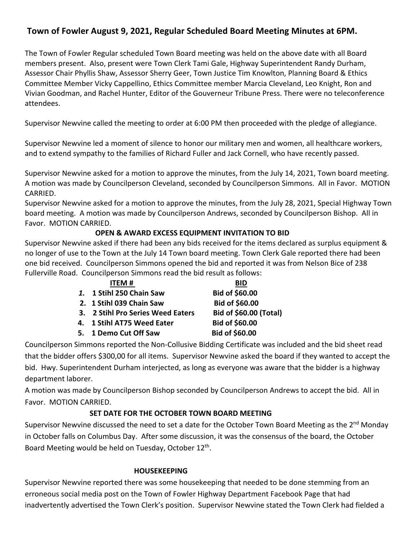# **Town of Fowler August 9, 2021, Regular Scheduled Board Meeting Minutes at 6PM.**

The Town of Fowler Regular scheduled Town Board meeting was held on the above date with all Board members present. Also, present were Town Clerk Tami Gale, Highway Superintendent Randy Durham, Assessor Chair Phyllis Shaw, Assessor Sherry Geer, Town Justice Tim Knowlton, Planning Board & Ethics Committee Member Vicky Cappellino, Ethics Committee member Marcia Cleveland, Leo Knight, Ron and Vivian Goodman, and Rachel Hunter, Editor of the Gouverneur Tribune Press. There were no teleconference attendees.

Supervisor Newvine called the meeting to order at 6:00 PM then proceeded with the pledge of allegiance.

Supervisor Newvine led a moment of silence to honor our military men and women, all healthcare workers, and to extend sympathy to the families of Richard Fuller and Jack Cornell, who have recently passed.

Supervisor Newvine asked for a motion to approve the minutes, from the July 14, 2021, Town board meeting. A motion was made by Councilperson Cleveland, seconded by Councilperson Simmons. All in Favor. MOTION CARRIED.

Supervisor Newvine asked for a motion to approve the minutes, from the July 28, 2021, Special Highway Town board meeting. A motion was made by Councilperson Andrews, seconded by Councilperson Bishop. All in Favor. MOTION CARRIED.

# **OPEN & AWARD EXCESS EQUIPMENT INVITATION TO BID**

Supervisor Newvine asked if there had been any bids received for the items declared as surplus equipment & no longer of use to the Town at the July 14 Town board meeting. Town Clerk Gale reported there had been one bid received. Councilperson Simmons opened the bid and reported it was from Nelson Bice of 238 Fullerville Road. Councilperson Simmons read the bid result as follows:

| <b>ITEM#</b>                      | <b>BID</b>                    |
|-----------------------------------|-------------------------------|
| 1. 1 Stihl 250 Chain Saw          | Bid of \$60.00                |
| 2. 1 Stihl 039 Chain Saw          | Bid of \$60.00                |
| 3. 2 Stihl Pro Series Weed Eaters | <b>Bid of \$60.00 (Total)</b> |
| 4. 1 Stihl AT75 Weed Eater        | Bid of \$60.00                |
| 5. 1 Demo Cut Off Saw             | <b>Bid of \$60.00</b>         |

Councilperson Simmons reported the Non-Collusive Bidding Certificate was included and the bid sheet read that the bidder offers \$300,00 for all items. Supervisor Newvine asked the board if they wanted to accept the bid. Hwy. Superintendent Durham interjected, as long as everyone was aware that the bidder is a highway department laborer.

A motion was made by Councilperson Bishop seconded by Councilperson Andrews to accept the bid. All in Favor. MOTION CARRIED.

# **SET DATE FOR THE OCTOBER TOWN BOARD MEETING**

Supervisor Newvine discussed the need to set a date for the October Town Board Meeting as the  $2^{nd}$  Monday in October falls on Columbus Day. After some discussion, it was the consensus of the board, the October Board Meeting would be held on Tuesday, October 12<sup>th</sup>.

#### **HOUSEKEEPING**

Supervisor Newvine reported there was some housekeeping that needed to be done stemming from an erroneous social media post on the Town of Fowler Highway Department Facebook Page that had inadvertently advertised the Town Clerk's position. Supervisor Newvine stated the Town Clerk had fielded a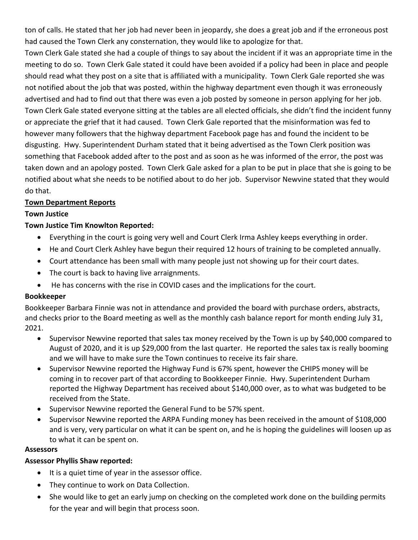ton of calls. He stated that her job had never been in jeopardy, she does a great job and if the erroneous post had caused the Town Clerk any consternation, they would like to apologize for that.

Town Clerk Gale stated she had a couple of things to say about the incident if it was an appropriate time in the meeting to do so. Town Clerk Gale stated it could have been avoided if a policy had been in place and people should read what they post on a site that is affiliated with a municipality. Town Clerk Gale reported she was not notified about the job that was posted, within the highway department even though it was erroneously advertised and had to find out that there was even a job posted by someone in person applying for her job. Town Clerk Gale stated everyone sitting at the tables are all elected officials, she didn't find the incident funny or appreciate the grief that it had caused. Town Clerk Gale reported that the misinformation was fed to however many followers that the highway department Facebook page has and found the incident to be disgusting. Hwy. Superintendent Durham stated that it being advertised as the Town Clerk position was something that Facebook added after to the post and as soon as he was informed of the error, the post was taken down and an apology posted. Town Clerk Gale asked for a plan to be put in place that she is going to be notified about what she needs to be notified about to do her job. Supervisor Newvine stated that they would do that.

#### **Town Department Reports**

#### **Town Justice**

# **Town Justice Tim Knowlton Reported:**

- Everything in the court is going very well and Court Clerk Irma Ashley keeps everything in order.
- He and Court Clerk Ashley have begun their required 12 hours of training to be completed annually.
- Court attendance has been small with many people just not showing up for their court dates.
- The court is back to having live arraignments.
- He has concerns with the rise in COVID cases and the implications for the court.

#### **Bookkeeper**

Bookkeeper Barbara Finnie was not in attendance and provided the board with purchase orders, abstracts, and checks prior to the Board meeting as well as the monthly cash balance report for month ending July 31, 2021.

- Supervisor Newvine reported that sales tax money received by the Town is up by \$40,000 compared to August of 2020, and it is up \$29,000 from the last quarter. He reported the sales tax is really booming and we will have to make sure the Town continues to receive its fair share.
- Supervisor Newvine reported the Highway Fund is 67% spent, however the CHIPS money will be coming in to recover part of that according to Bookkeeper Finnie. Hwy. Superintendent Durham reported the Highway Department has received about \$140,000 over, as to what was budgeted to be received from the State.
- Supervisor Newvine reported the General Fund to be 57% spent.
- Supervisor Newvine reported the ARPA Funding money has been received in the amount of \$108,000 and is very, very particular on what it can be spent on, and he is hoping the guidelines will loosen up as to what it can be spent on.

#### **Assessors**

#### **Assessor Phyllis Shaw reported:**

- It is a quiet time of year in the assessor office.
- They continue to work on Data Collection.
- She would like to get an early jump on checking on the completed work done on the building permits for the year and will begin that process soon.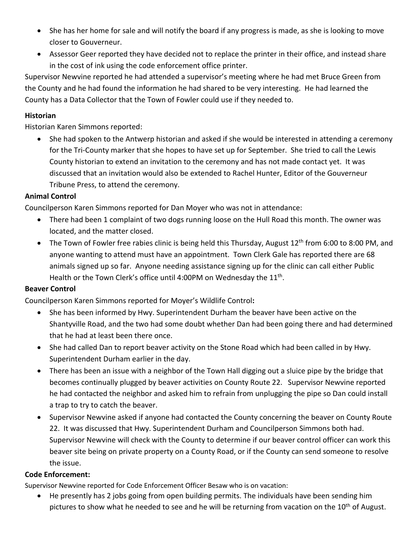- She has her home for sale and will notify the board if any progress is made, as she is looking to move closer to Gouverneur.
- Assessor Geer reported they have decided not to replace the printer in their office, and instead share in the cost of ink using the code enforcement office printer.

Supervisor Newvine reported he had attended a supervisor's meeting where he had met Bruce Green from the County and he had found the information he had shared to be very interesting. He had learned the County has a Data Collector that the Town of Fowler could use if they needed to.

#### **Historian**

Historian Karen Simmons reported:

• She had spoken to the Antwerp historian and asked if she would be interested in attending a ceremony for the Tri-County marker that she hopes to have set up for September. She tried to call the Lewis County historian to extend an invitation to the ceremony and has not made contact yet. It was discussed that an invitation would also be extended to Rachel Hunter, Editor of the Gouverneur Tribune Press, to attend the ceremony.

# **Animal Control**

Councilperson Karen Simmons reported for Dan Moyer who was not in attendance:

- There had been 1 complaint of two dogs running loose on the Hull Road this month. The owner was located, and the matter closed.
- The Town of Fowler free rabies clinic is being held this Thursday, August 12<sup>th</sup> from 6:00 to 8:00 PM, and anyone wanting to attend must have an appointment. Town Clerk Gale has reported there are 68 animals signed up so far. Anyone needing assistance signing up for the clinic can call either Public Health or the Town Clerk's office until 4:00PM on Wednesday the 11<sup>th</sup>.

#### **Beaver Control**

Councilperson Karen Simmons reported for Moyer's Wildlife Control**:**

- She has been informed by Hwy. Superintendent Durham the beaver have been active on the Shantyville Road, and the two had some doubt whether Dan had been going there and had determined that he had at least been there once.
- She had called Dan to report beaver activity on the Stone Road which had been called in by Hwy. Superintendent Durham earlier in the day.
- There has been an issue with a neighbor of the Town Hall digging out a sluice pipe by the bridge that becomes continually plugged by beaver activities on County Route 22. Supervisor Newvine reported he had contacted the neighbor and asked him to refrain from unplugging the pipe so Dan could install a trap to try to catch the beaver.
- Supervisor Newvine asked if anyone had contacted the County concerning the beaver on County Route 22. It was discussed that Hwy. Superintendent Durham and Councilperson Simmons both had. Supervisor Newvine will check with the County to determine if our beaver control officer can work this beaver site being on private property on a County Road, or if the County can send someone to resolve the issue.

#### **Code Enforcement:**

Supervisor Newvine reported for Code Enforcement Officer Besaw who is on vacation:

• He presently has 2 jobs going from open building permits. The individuals have been sending him pictures to show what he needed to see and he will be returning from vacation on the 10<sup>th</sup> of August.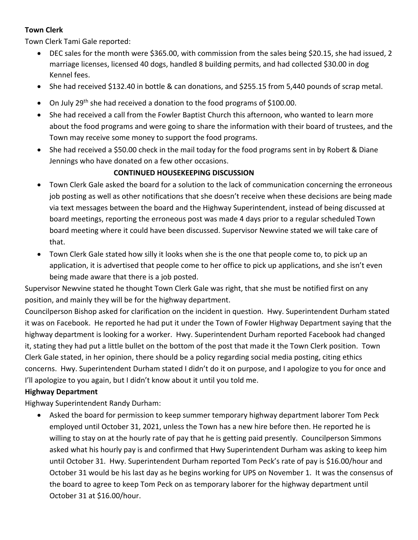# **Town Clerk**

Town Clerk Tami Gale reported:

- DEC sales for the month were \$365.00, with commission from the sales being \$20.15, she had issued, 2 marriage licenses, licensed 40 dogs, handled 8 building permits, and had collected \$30.00 in dog Kennel fees.
- She had received \$132.40 in bottle & can donations, and \$255.15 from 5,440 pounds of scrap metal.
- On July 29<sup>th</sup> she had received a donation to the food programs of \$100.00.
- She had received a call from the Fowler Baptist Church this afternoon, who wanted to learn more about the food programs and were going to share the information with their board of trustees, and the Town may receive some money to support the food programs.
- She had received a \$50.00 check in the mail today for the food programs sent in by Robert & Diane Jennings who have donated on a few other occasions.

# **CONTINUED HOUSEKEEPING DISCUSSION**

- Town Clerk Gale asked the board for a solution to the lack of communication concerning the erroneous job posting as well as other notifications that she doesn't receive when these decisions are being made via text messages between the board and the Highway Superintendent, instead of being discussed at board meetings, reporting the erroneous post was made 4 days prior to a regular scheduled Town board meeting where it could have been discussed. Supervisor Newvine stated we will take care of that.
- Town Clerk Gale stated how silly it looks when she is the one that people come to, to pick up an application, it is advertised that people come to her office to pick up applications, and she isn't even being made aware that there is a job posted.

Supervisor Newvine stated he thought Town Clerk Gale was right, that she must be notified first on any position, and mainly they will be for the highway department.

Councilperson Bishop asked for clarification on the incident in question. Hwy. Superintendent Durham stated it was on Facebook. He reported he had put it under the Town of Fowler Highway Department saying that the highway department is looking for a worker. Hwy. Superintendent Durham reported Facebook had changed it, stating they had put a little bullet on the bottom of the post that made it the Town Clerk position. Town Clerk Gale stated, in her opinion, there should be a policy regarding social media posting, citing ethics concerns. Hwy. Superintendent Durham stated I didn't do it on purpose, and I apologize to you for once and I'll apologize to you again, but I didn't know about it until you told me.

#### **Highway Department**

Highway Superintendent Randy Durham:

• Asked the board for permission to keep summer temporary highway department laborer Tom Peck employed until October 31, 2021, unless the Town has a new hire before then. He reported he is willing to stay on at the hourly rate of pay that he is getting paid presently. Councilperson Simmons asked what his hourly pay is and confirmed that Hwy Superintendent Durham was asking to keep him until October 31. Hwy. Superintendent Durham reported Tom Peck's rate of pay is \$16.00/hour and October 31 would be his last day as he begins working for UPS on November 1. It was the consensus of the board to agree to keep Tom Peck on as temporary laborer for the highway department until October 31 at \$16.00/hour.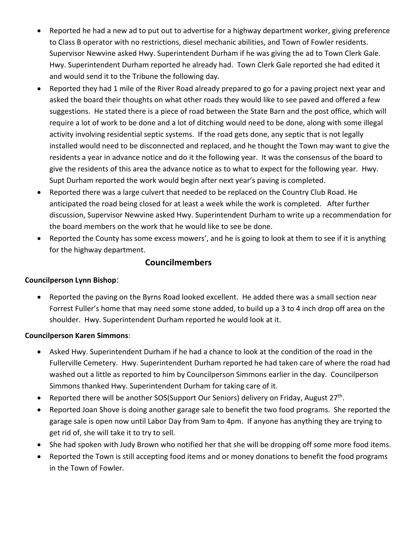- Reported he had a new ad to put out to advertise for a highway department worker, giving preference to Class B operator with no restrictions, diesel mechanic abilities, and Town of Fowler residents. Supervisor Newvine asked Hwy. Superintendent Durham if he was giving the ad to Town Clerk Gale. Hwy. Superintendent Durham reported he already had. Town Clerk Gale reported she had edited it and would send it to the Tribune the following day.
- Reported they had 1 mile of the River Road already prepared to go for a paving project next year and asked the board their thoughts on what other roads they would like to see paved and offered a few suggestions. He stated there is a piece of road between the State Barn and the post office, which will require a lot of work to be done and a lot of ditching would need to be done, along with some illegal activity involving residential septic systems. If the road gets done, any septic that is not legally installed would need to be disconnected and replaced, and he thought the Town may want to give the residents a year in advance notice and do it the following year. It was the consensus of the board to give the residents of this area the advance notice as to what to expect for the following year. Hwy. Supt Durham reported the work would begin after next year's paving is completed.
- Reported there was a large culvert that needed to be replaced on the Country Club Road. He anticipated the road being closed for at least a week while the work is completed. After further discussion, Supervisor Newvine asked Hwy. Superintendent Durham to write up a recommendation for the board members on the work that he would like to see be done.
- Reported the County has some excess mowers', and he is going to look at them to see if it is anything for the highway department.

# **Councilmembers**

#### **Councilperson Lynn Bishop**:

• Reported the paving on the Byrns Road looked excellent. He added there was a small section near Forrest Fuller's home that may need some stone added, to build up a 3 to 4 inch drop off area on the shoulder. Hwy. Superintendent Durham reported he would look at it.

#### **Councilperson Karen Simmons**:

- Asked Hwy. Superintendent Durham if he had a chance to look at the condition of the road in the Fullerville Cemetery. Hwy. Superintendent Durham reported he had taken care of where the road had washed out a little as reported to him by Councilperson Simmons earlier in the day. Councilperson Simmons thanked Hwy. Superintendent Durham for taking care of it.
- Reported there will be another SOS(Support Our Seniors) delivery on Friday, August  $27<sup>th</sup>$ .
- Reported Joan Shove is doing another garage sale to benefit the two food programs. She reported the garage sale is open now until Labor Day from 9am to 4pm. If anyone has anything they are trying to get rid of, she will take it to try to sell.
- She had spoken with Judy Brown who notified her that she will be dropping off some more food items.
- Reported the Town is still accepting food items and or money donations to benefit the food programs in the Town of Fowler.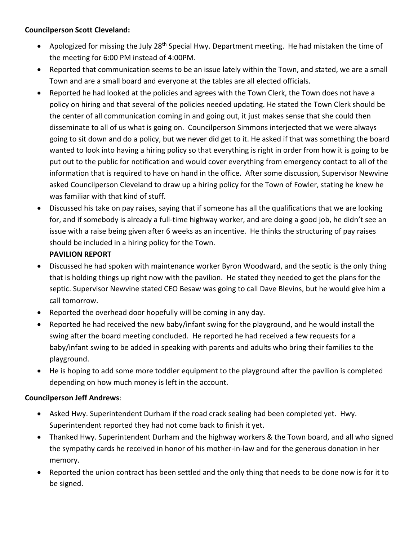# **Councilperson Scott Cleveland:**

- Apologized for missing the July 28<sup>th</sup> Special Hwy. Department meeting. He had mistaken the time of the meeting for 6:00 PM instead of 4:00PM.
- Reported that communication seems to be an issue lately within the Town, and stated, we are a small Town and are a small board and everyone at the tables are all elected officials.
- Reported he had looked at the policies and agrees with the Town Clerk, the Town does not have a policy on hiring and that several of the policies needed updating. He stated the Town Clerk should be the center of all communication coming in and going out, it just makes sense that she could then disseminate to all of us what is going on. Councilperson Simmons interjected that we were always going to sit down and do a policy, but we never did get to it. He asked if that was something the board wanted to look into having a hiring policy so that everything is right in order from how it is going to be put out to the public for notification and would cover everything from emergency contact to all of the information that is required to have on hand in the office. After some discussion, Supervisor Newvine asked Councilperson Cleveland to draw up a hiring policy for the Town of Fowler, stating he knew he was familiar with that kind of stuff.
- Discussed his take on pay raises, saying that if someone has all the qualifications that we are looking for, and if somebody is already a full-time highway worker, and are doing a good job, he didn't see an issue with a raise being given after 6 weeks as an incentive. He thinks the structuring of pay raises should be included in a hiring policy for the Town.

# **PAVILION REPORT**

- Discussed he had spoken with maintenance worker Byron Woodward, and the septic is the only thing that is holding things up right now with the pavilion. He stated they needed to get the plans for the septic. Supervisor Newvine stated CEO Besaw was going to call Dave Blevins, but he would give him a call tomorrow.
- Reported the overhead door hopefully will be coming in any day.
- Reported he had received the new baby/infant swing for the playground, and he would install the swing after the board meeting concluded. He reported he had received a few requests for a baby/infant swing to be added in speaking with parents and adults who bring their families to the playground.
- He is hoping to add some more toddler equipment to the playground after the pavilion is completed depending on how much money is left in the account.

#### **Councilperson Jeff Andrews**:

- Asked Hwy. Superintendent Durham if the road crack sealing had been completed yet. Hwy. Superintendent reported they had not come back to finish it yet.
- Thanked Hwy. Superintendent Durham and the highway workers & the Town board, and all who signed the sympathy cards he received in honor of his mother-in-law and for the generous donation in her memory.
- Reported the union contract has been settled and the only thing that needs to be done now is for it to be signed.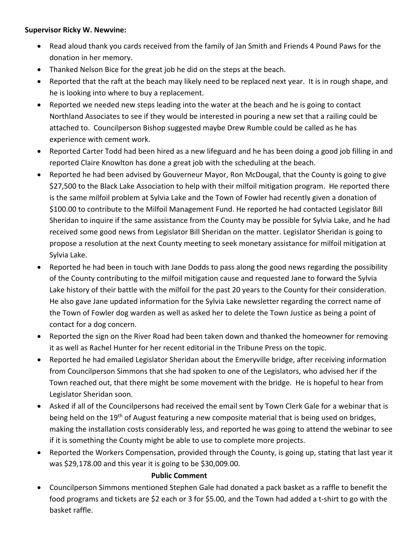#### **Supervisor Ricky W. Newvine:**

- Read aloud thank you cards received from the family of Jan Smith and Friends 4 Pound Paws for the donation in her memory.
- Thanked Nelson Bice for the great job he did on the steps at the beach.
- Reported that the raft at the beach may likely need to be replaced next year. It is in rough shape, and he is looking into where to buy a replacement.
- Reported we needed new steps leading into the water at the beach and he is going to contact Northland Associates to see if they would be interested in pouring a new set that a railing could be attached to. Councilperson Bishop suggested maybe Drew Rumble could be called as he has experience with cement work.
- Reported Carter Todd had been hired as a new lifeguard and he has been doing a good job filling in and reported Claire Knowlton has done a great job with the scheduling at the beach.
- Reported he had been advised by Gouverneur Mayor, Ron McDougal, that the County is going to give \$27,500 to the Black Lake Association to help with their milfoil mitigation program. He reported there is the same milfoil problem at Sylvia Lake and the Town of Fowler had recently given a donation of \$100.00 to contribute to the Milfoil Management Fund. He reported he had contacted Legislator Bill Sheridan to inquire if the same assistance from the County may be possible for Sylvia Lake, and he had received some good news from Legislator Bill Sheridan on the matter. Legislator Sheridan is going to propose a resolution at the next County meeting to seek monetary assistance for milfoil mitigation at Sylvia Lake.
- Reported he had been in touch with Jane Dodds to pass along the good news regarding the possibility of the County contributing to the milfoil mitigation cause and requested Jane to forward the Sylvia Lake history of their battle with the milfoil for the past 20 years to the County for their consideration. He also gave Jane updated information for the Sylvia Lake newsletter regarding the correct name of the Town of Fowler dog warden as well as asked her to delete the Town Justice as being a point of contact for a dog concern.
- Reported the sign on the River Road had been taken down and thanked the homeowner for removing it as well as Rachel Hunter for her recent editorial in the Tribune Press on the topic.
- Reported he had emailed Legislator Sheridan about the Emeryville bridge, after receiving information from Councilperson Simmons that she had spoken to one of the Legislators, who advised her if the Town reached out, that there might be some movement with the bridge. He is hopeful to hear from Legislator Sheridan soon.
- Asked if all of the Councilpersons had received the email sent by Town Clerk Gale for a webinar that is being held on the 19<sup>th</sup> of August featuring a new composite material that is being used on bridges, making the installation costs considerably less, and reported he was going to attend the webinar to see if it is something the County might be able to use to complete more projects.
- Reported the Workers Compensation, provided through the County, is going up, stating that last year it was \$29,178.00 and this year it is going to be \$30,009.00.

#### **Public Comment**

• Councilperson Simmons mentioned Stephen Gale had donated a pack basket as a raffle to benefit the food programs and tickets are \$2 each or 3 for \$5.00, and the Town had added a t-shirt to go with the basket raffle.